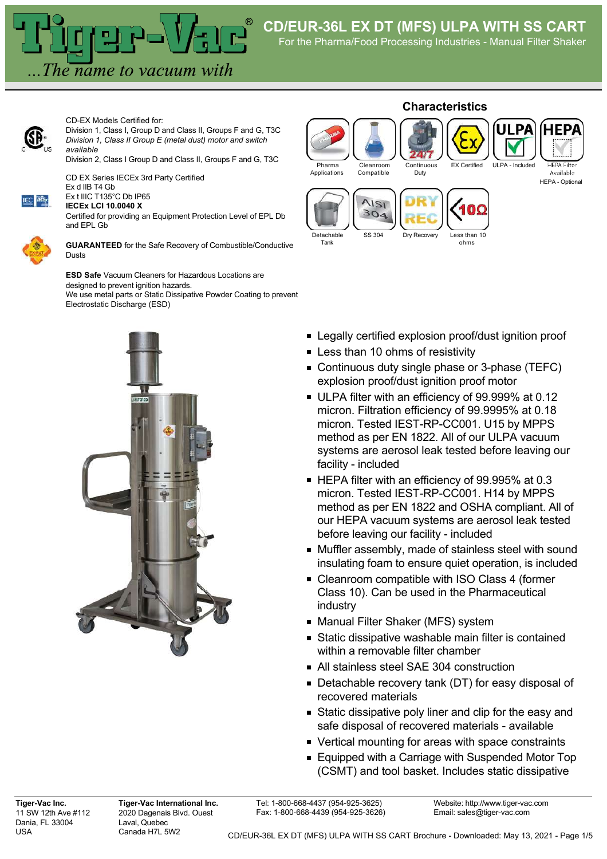The name to vacuum with

CD-EX Models Certified for:



Division 1, Class I, Group D and Class II, Groups F and G, T3C *Division 1, Class II Group E (metal dust) motor and switch available*

Division 2, Class I Group D and Class II, Groups F and G, T3C

CD EX Series IECEx 3rd Party Certified Ex d IIB T4 Gb



Ex t IIIC T135°C Db IP65 **IECEx LCI 10.0040 X**



Certified for providing an Equipment Protection Level of EPL Db and EPL Gb

**GUARANTEED** for the Safe Recovery of Combustible/Conductive Dusts

**ESD Safe** Vacuum Cleaners for Hazardous Locations are designed to prevent ignition hazards. We use metal parts or Static Dissipative Powder Coating to prevent Electrostatic Discharge (ESD)



## **Characteristics** .PA Pharma Cleanroom Continuous EX Certified ULPA - Included **HEPA Filte** Available Applications Compatible Duty HEPA - Optional AISI  $304$ Detachable SS 304 Dry Recovery Less than 10 Tank ohms

- **Example 2** Legally certified explosion proof/dust ignition proof
- **Less than 10 ohms of resistivity**
- **Continuous duty single phase or 3-phase (TEFC)** explosion proof/dust ignition proof motor
- ULPA filter with an efficiency of 99.999% at 0.12 micron. Filtration efficiency of 99.9995% at 0.18 micron. Tested IEST-RP-CC001. U15 by MPPS method as per EN 1822. All of our ULPA vacuum systems are aerosol leak tested before leaving our facility - included
- HEPA filter with an efficiency of 99.995% at 0.3 micron. Tested IEST-RP-CC001. H14 by MPPS method as per EN 1822 and OSHA compliant. All of our HEPA vacuum systems are aerosol leak tested before leaving our facility - included
- Muffler assembly, made of stainless steel with sound insulating foam to ensure quiet operation, is included
- Cleanroom compatible with ISO Class 4 (former Class 10). Can be used in the Pharmaceutical industry
- Manual Filter Shaker (MFS) system
- Static dissipative washable main filter is contained within a removable filter chamber
- All stainless steel SAE 304 construction
- Detachable recovery tank (DT) for easy disposal of recovered materials
- Static dissipative poly liner and clip for the easy and safe disposal of recovered materials - available
- Vertical mounting for areas with space constraints
- Equipped with a Carriage with Suspended Motor Top (CSMT) and tool basket. Includes static dissipative

**Tiger-Vac Inc.** 11 SW 12th Ave #112 Dania, FL 33004 USA

**Tiger-Vac International Inc.** 2020 Dagenais Blvd. Ouest Laval, Quebec Canada H7L 5W2

Tel: 1-800-668-4437 (954-925-3625) Fax: 1-800-668-4439 (954-925-3626)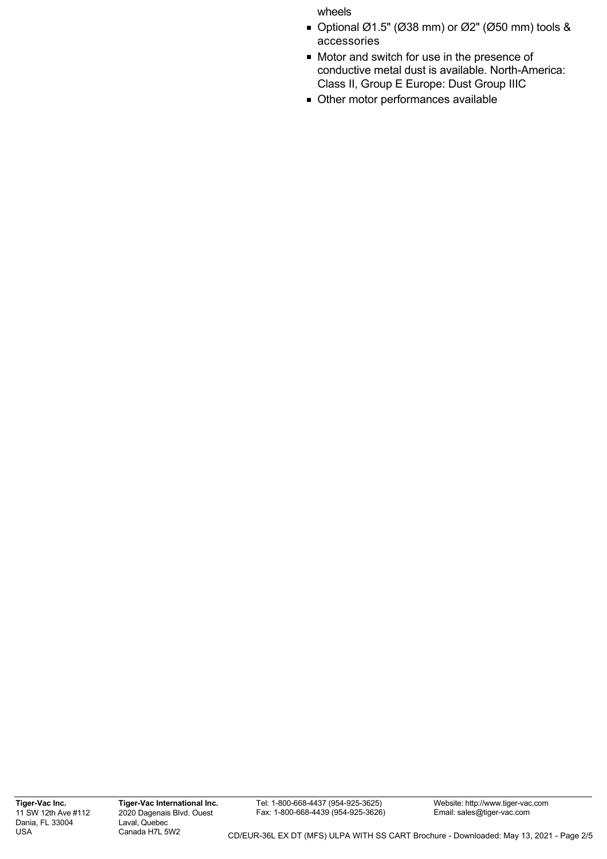## wheels

- $\bullet$  Optional Ø1.5" (Ø38 mm) or Ø2" (Ø50 mm) tools & accessories
- Motor and switch for use in the presence of conductive metal dust is available. North-America: Class II, Group E Europe: Dust Group IIIC
- Other motor performances available

**Tiger-Vac Inc.** 11 SW 12th Ave #112 Dania, FL 33004 USA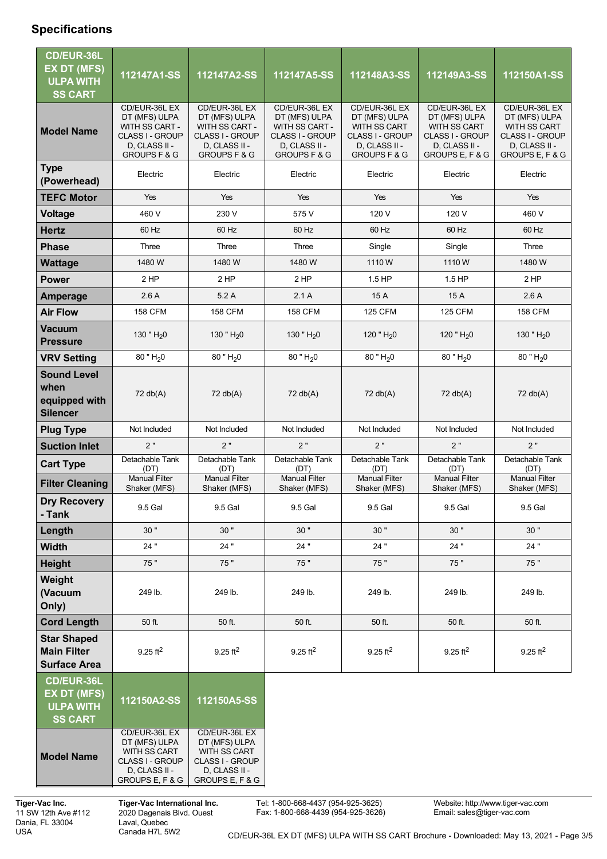## **Specifications**

| CD/EUR-36L<br><b>EX DT (MFS)</b><br><b>ULPA WITH</b><br><b>SS CART</b>        | 112147A1-SS                                                                                                            | 112147A2-SS                                                                                                            | 112147A5-SS                                                                                                            | 112148A3-SS                                                                                                   | 112149A3-SS                                                                                                         | 112150A1-SS                                                                                                  |
|-------------------------------------------------------------------------------|------------------------------------------------------------------------------------------------------------------------|------------------------------------------------------------------------------------------------------------------------|------------------------------------------------------------------------------------------------------------------------|---------------------------------------------------------------------------------------------------------------|---------------------------------------------------------------------------------------------------------------------|--------------------------------------------------------------------------------------------------------------|
| <b>Model Name</b>                                                             | CD/EUR-36L EX<br>DT (MFS) ULPA<br>WITH SS CART -<br><b>CLASS I - GROUP</b><br>D, CLASS II -<br><b>GROUPS F &amp; G</b> | CD/EUR-36L EX<br>DT (MFS) ULPA<br>WITH SS CART -<br><b>CLASS I - GROUP</b><br>D, CLASS II -<br><b>GROUPS F &amp; G</b> | CD/EUR-36L EX<br>DT (MFS) ULPA<br>WITH SS CART -<br><b>CLASS I - GROUP</b><br>D, CLASS II -<br><b>GROUPS F &amp; G</b> | CD/EUR-36L EX<br>DT (MFS) ULPA<br>WITH SS CART<br>CLASS I - GROUP<br>D, CLASS II -<br><b>GROUPS F &amp; G</b> | CD/EUR-36L EX<br>DT (MFS) ULPA<br><b>WITH SS CART</b><br><b>CLASS I - GROUP</b><br>D, CLASS II -<br>GROUPS E, F & G | CD/EUR-36L EX<br>DT (MFS) ULPA<br>WITH SS CART<br><b>CLASS I - GROUP</b><br>D, CLASS II -<br>GROUPS E, F & G |
| <b>Type</b><br>(Powerhead)                                                    | Electric                                                                                                               | Electric                                                                                                               | Electric                                                                                                               | Electric                                                                                                      | Electric                                                                                                            | Electric                                                                                                     |
| <b>TEFC Motor</b>                                                             | Yes                                                                                                                    | Yes                                                                                                                    | Yes                                                                                                                    | Yes                                                                                                           | Yes                                                                                                                 | Yes                                                                                                          |
| Voltage                                                                       | 460 V                                                                                                                  | 230 V                                                                                                                  | 575 V                                                                                                                  | 120 V                                                                                                         | 120 V                                                                                                               | 460 V                                                                                                        |
| <b>Hertz</b>                                                                  | 60 Hz                                                                                                                  | 60 Hz                                                                                                                  | 60 Hz                                                                                                                  | 60 Hz                                                                                                         | 60 Hz                                                                                                               | 60 Hz                                                                                                        |
| <b>Phase</b>                                                                  | Three                                                                                                                  | Three                                                                                                                  | Three                                                                                                                  | Single                                                                                                        | Single                                                                                                              | Three                                                                                                        |
| <b>Wattage</b>                                                                | 1480 W                                                                                                                 | 1480 W                                                                                                                 | 1480 W                                                                                                                 | 1110W                                                                                                         | 1110W                                                                                                               | 1480 W                                                                                                       |
| <b>Power</b>                                                                  | 2 HP                                                                                                                   | 2 HP                                                                                                                   | 2 HP                                                                                                                   | 1.5 HP                                                                                                        | $1.5$ HP                                                                                                            | 2 HP                                                                                                         |
| Amperage                                                                      | 2.6A                                                                                                                   | 5.2A                                                                                                                   | 2.1A                                                                                                                   | 15 A                                                                                                          | 15 A                                                                                                                | 2.6A                                                                                                         |
| <b>Air Flow</b>                                                               | <b>158 CFM</b>                                                                                                         | <b>158 CFM</b>                                                                                                         | <b>158 CFM</b>                                                                                                         | <b>125 CFM</b>                                                                                                | <b>125 CFM</b>                                                                                                      | <b>158 CFM</b>                                                                                               |
| <b>Vacuum</b><br><b>Pressure</b>                                              | 130 " $H_2$ 0                                                                                                          | 130 " $H20$                                                                                                            | 130 " $H_2$ 0                                                                                                          | 120 " $H20$                                                                                                   | 120 " $H20$                                                                                                         | 130 " $H20$                                                                                                  |
| <b>VRV Setting</b>                                                            | $80$ " $H20$                                                                                                           | $80$ " H <sub>2</sub> 0                                                                                                | $80$ " H <sub>2</sub> 0                                                                                                | $80$ " $H20$                                                                                                  | $80$ " H <sub>2</sub> 0                                                                                             | $80$ " H <sub>2</sub> 0                                                                                      |
| <b>Sound Level</b><br>when<br>equipped with<br><b>Silencer</b>                | 72 db(A)                                                                                                               | 72 db(A)                                                                                                               | 72 db(A)                                                                                                               | 72 db(A)                                                                                                      | 72 db(A)                                                                                                            | 72 db(A)                                                                                                     |
| <b>Plug Type</b>                                                              | Not Included                                                                                                           | Not Included                                                                                                           | Not Included                                                                                                           | Not Included                                                                                                  | Not Included                                                                                                        | Not Included                                                                                                 |
| <b>Suction Inlet</b>                                                          | 2"                                                                                                                     | 2"                                                                                                                     | 2"                                                                                                                     | 2"                                                                                                            | 2"                                                                                                                  | 2"                                                                                                           |
| <b>Cart Type</b>                                                              | Detachable Tank<br>(DT)                                                                                                | Detachable Tank<br>(DT)                                                                                                | Detachable Tank<br>(DT)                                                                                                | Detachable Tank<br>(DT)                                                                                       | Detachable Tank<br>(DT)                                                                                             | Detachable Tank<br>(DT)                                                                                      |
| <b>Filter Cleaning</b>                                                        | <b>Manual Filter</b><br>Shaker (MFS)                                                                                   | <b>Manual Filter</b><br>Shaker (MFS)                                                                                   | <b>Manual Filter</b><br>Shaker (MFS)                                                                                   | <b>Manual Filter</b><br>Shaker (MFS)                                                                          | <b>Manual Filter</b><br>Shaker (MFS)                                                                                | <b>Manual Filter</b><br>Shaker (MFS)                                                                         |
| <b>Dry Recovery</b><br>- Tank                                                 | 9.5 Gal                                                                                                                | 9.5 Gal                                                                                                                | 9.5 Gal                                                                                                                | 9.5 Gal                                                                                                       | 9.5 Gal                                                                                                             | 9.5 Gal                                                                                                      |
| Length                                                                        | 30"                                                                                                                    | 30"                                                                                                                    | 30"                                                                                                                    | 30"                                                                                                           | 30"                                                                                                                 | 30"                                                                                                          |
| <b>Width</b>                                                                  | 24"                                                                                                                    | 24"                                                                                                                    | 24 "                                                                                                                   | 24 "                                                                                                          | 24 "                                                                                                                | 24 "                                                                                                         |
| <b>Height</b>                                                                 | 75 "                                                                                                                   | 75 "                                                                                                                   | 75 "                                                                                                                   | 75"                                                                                                           | 75 "                                                                                                                | 75 "                                                                                                         |
| Weight<br>(Vacuum<br>Only)                                                    | 249 lb.                                                                                                                | 249 lb.                                                                                                                | 249 lb.                                                                                                                | 249 lb.                                                                                                       | 249 lb.                                                                                                             | 249 lb.                                                                                                      |
| <b>Cord Length</b>                                                            | 50 ft.                                                                                                                 | 50 ft.                                                                                                                 | 50 ft.                                                                                                                 | 50 ft.                                                                                                        | 50 ft.                                                                                                              | 50 ft.                                                                                                       |
| <b>Star Shaped</b><br><b>Main Filter</b><br><b>Surface Area</b>               | $9.25$ ft <sup>2</sup>                                                                                                 | $9.25$ ft <sup>2</sup>                                                                                                 | $9.25$ ft <sup>2</sup>                                                                                                 | $9.25 \text{ ft}^2$                                                                                           | $9.25$ ft <sup>2</sup>                                                                                              | $9.25$ ft <sup>2</sup>                                                                                       |
| <b>CD/EUR-36L</b><br><b>EX DT (MFS)</b><br><b>ULPA WITH</b><br><b>SS CART</b> | 112150A2-SS                                                                                                            | 112150A5-SS                                                                                                            |                                                                                                                        |                                                                                                               |                                                                                                                     |                                                                                                              |
| <b>Model Name</b>                                                             | CD/EUR-36L EX<br>DT (MFS) ULPA<br>WITH SS CART<br><b>CLASS I - GROUP</b><br>D, CLASS II -<br>GROUPS E, F & G           | CD/EUR-36L EX<br>DT (MFS) ULPA<br>WITH SS CART<br>CLASS I - GROUP<br>D, CLASS II -<br>GROUPS E, F & G                  |                                                                                                                        |                                                                                                               |                                                                                                                     |                                                                                                              |

**Tiger-Vac Inc.** 11 SW 12th Ave #112 Dania, FL 33004 USA

**Tiger-Vac International Inc.** 2020 Dagenais Blvd. Ouest Laval, Quebec Canada H7L 5W2

Tel: 1-800-668-4437 (954-925-3625) Fax: 1-800-668-4439 (954-925-3626)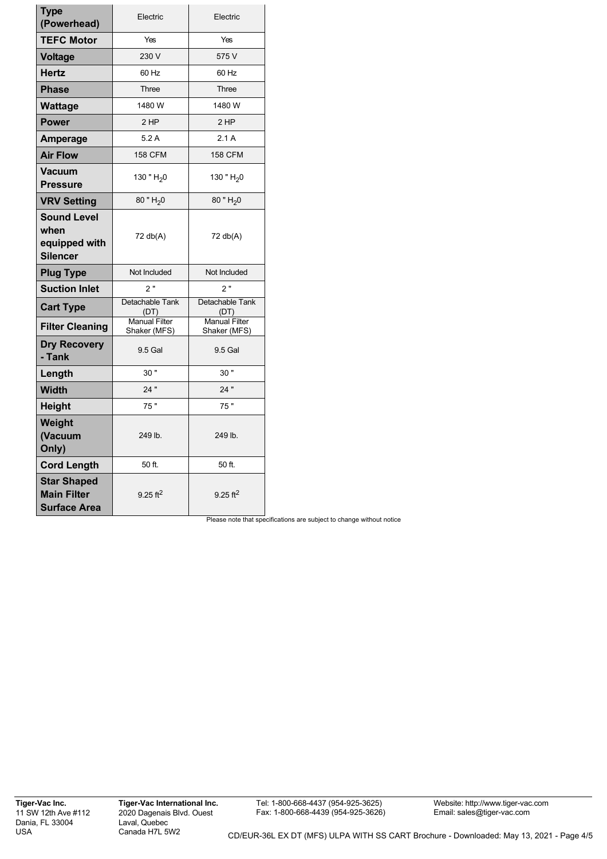| <b>Type</b><br>(Powerhead)                                      | Electric                             | Electric                             |  |
|-----------------------------------------------------------------|--------------------------------------|--------------------------------------|--|
| <b>TEFC Motor</b>                                               | Yes                                  | Yes                                  |  |
| <b>Voltage</b>                                                  | 230 V                                | 575 V                                |  |
| <b>Hertz</b>                                                    | 60 Hz                                | 60 Hz                                |  |
| <b>Phase</b>                                                    | Three                                | Three                                |  |
| <b>Wattage</b>                                                  | 1480 W                               | 1480 W                               |  |
| <b>Power</b>                                                    | 2 HP                                 | 2 HP                                 |  |
| Amperage                                                        | 5.2A                                 | 2.1A                                 |  |
| <b>Air Flow</b>                                                 | <b>158 CFM</b>                       | <b>158 CFM</b>                       |  |
| <b>Vacuum</b><br><b>Pressure</b>                                | 130 " $H_2$ 0                        | 130 " $H_2$ 0                        |  |
| <b>VRV Setting</b>                                              | 80 " H <sub>2</sub> 0                | 80 " H <sub>2</sub> 0                |  |
| <b>Sound Level</b><br>when<br>equipped with<br><b>Silencer</b>  | 72 db(A)                             | 72 db(A)                             |  |
| <b>Plug Type</b>                                                | Not Included                         | Not Included                         |  |
| <b>Suction Inlet</b>                                            | 2"                                   | 2"                                   |  |
| <b>Cart Type</b>                                                | Detachable Tank<br>(DT)              | Detachable Tank<br>(DT)              |  |
| <b>Filter Cleaning</b>                                          | <b>Manual Filter</b><br>Shaker (MFS) | <b>Manual Filter</b><br>Shaker (MFS) |  |
| <b>Dry Recovery</b><br>- Tank                                   | 9.5 Gal                              | 9.5 Gal                              |  |
| Length                                                          | 30"                                  | 30"                                  |  |
| <b>Width</b>                                                    | 24"                                  | 24"                                  |  |
| <b>Height</b>                                                   | 75"                                  | 75"                                  |  |
| Weight<br>(Vacuum<br>Only)                                      | 249 lb.                              | 249 lb.                              |  |
| <b>Cord Length</b>                                              | 50 ft.                               | 50 ft.                               |  |
| <b>Star Shaped</b><br><b>Main Filter</b><br><b>Surface Area</b> | 9.25 ft <sup>2</sup>                 | 9.25 $ft^2$                          |  |

Please note that specifications are subject to change without notice

**Tiger-Vac Inc.** 11 SW 12th Ave #112 Dania, FL 33004 USA

Tel: 1-800-668-4437 (954-925-3625) Fax: 1-800-668-4439 (954-925-3626)